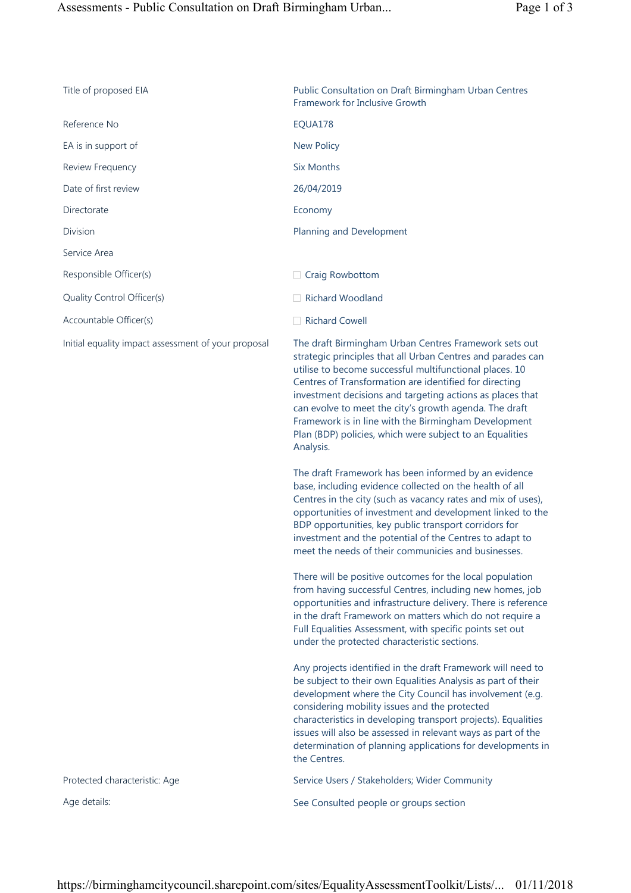| Title of proposed EIA                               | Public Consultation on Draft Birmingham Urban Centres<br>Framework for Inclusive Growth                                                                                                                                                                                                                                                                                                                                                                                                                                                                                                                                                                                                                                                                                                                                                                                                                                                                                                                                                                                                                                                                                                                                                      |
|-----------------------------------------------------|----------------------------------------------------------------------------------------------------------------------------------------------------------------------------------------------------------------------------------------------------------------------------------------------------------------------------------------------------------------------------------------------------------------------------------------------------------------------------------------------------------------------------------------------------------------------------------------------------------------------------------------------------------------------------------------------------------------------------------------------------------------------------------------------------------------------------------------------------------------------------------------------------------------------------------------------------------------------------------------------------------------------------------------------------------------------------------------------------------------------------------------------------------------------------------------------------------------------------------------------|
| Reference No                                        | EQUA178                                                                                                                                                                                                                                                                                                                                                                                                                                                                                                                                                                                                                                                                                                                                                                                                                                                                                                                                                                                                                                                                                                                                                                                                                                      |
| EA is in support of                                 | <b>New Policy</b>                                                                                                                                                                                                                                                                                                                                                                                                                                                                                                                                                                                                                                                                                                                                                                                                                                                                                                                                                                                                                                                                                                                                                                                                                            |
| Review Frequency                                    | <b>Six Months</b>                                                                                                                                                                                                                                                                                                                                                                                                                                                                                                                                                                                                                                                                                                                                                                                                                                                                                                                                                                                                                                                                                                                                                                                                                            |
| Date of first review                                | 26/04/2019                                                                                                                                                                                                                                                                                                                                                                                                                                                                                                                                                                                                                                                                                                                                                                                                                                                                                                                                                                                                                                                                                                                                                                                                                                   |
| Directorate                                         | Economy                                                                                                                                                                                                                                                                                                                                                                                                                                                                                                                                                                                                                                                                                                                                                                                                                                                                                                                                                                                                                                                                                                                                                                                                                                      |
| <b>Division</b>                                     | Planning and Development                                                                                                                                                                                                                                                                                                                                                                                                                                                                                                                                                                                                                                                                                                                                                                                                                                                                                                                                                                                                                                                                                                                                                                                                                     |
| Service Area                                        |                                                                                                                                                                                                                                                                                                                                                                                                                                                                                                                                                                                                                                                                                                                                                                                                                                                                                                                                                                                                                                                                                                                                                                                                                                              |
| Responsible Officer(s)                              | $\Box$ Craig Rowbottom                                                                                                                                                                                                                                                                                                                                                                                                                                                                                                                                                                                                                                                                                                                                                                                                                                                                                                                                                                                                                                                                                                                                                                                                                       |
| Quality Control Officer(s)                          | <b>Richard Woodland</b>                                                                                                                                                                                                                                                                                                                                                                                                                                                                                                                                                                                                                                                                                                                                                                                                                                                                                                                                                                                                                                                                                                                                                                                                                      |
| Accountable Officer(s)                              | Richard Cowell                                                                                                                                                                                                                                                                                                                                                                                                                                                                                                                                                                                                                                                                                                                                                                                                                                                                                                                                                                                                                                                                                                                                                                                                                               |
| Initial equality impact assessment of your proposal | The draft Birmingham Urban Centres Framework sets out<br>strategic principles that all Urban Centres and parades can<br>utilise to become successful multifunctional places. 10<br>Centres of Transformation are identified for directing<br>investment decisions and targeting actions as places that<br>can evolve to meet the city's growth agenda. The draft<br>Framework is in line with the Birmingham Development<br>Plan (BDP) policies, which were subject to an Equalities<br>Analysis.<br>The draft Framework has been informed by an evidence<br>base, including evidence collected on the health of all<br>Centres in the city (such as vacancy rates and mix of uses),<br>opportunities of investment and development linked to the<br>BDP opportunities, key public transport corridors for<br>investment and the potential of the Centres to adapt to<br>meet the needs of their communicies and businesses<br>There will be positive outcomes for the local population<br>from having successful Centres, including new homes, job<br>opportunities and infrastructure delivery. There is reference<br>in the draft Framework on matters which do not require a<br>Full Equalities Assessment, with specific points set out |
| Protected characteristic: Age                       | under the protected characteristic sections.<br>Any projects identified in the draft Framework will need to<br>be subject to their own Equalities Analysis as part of their<br>development where the City Council has involvement (e.g.<br>considering mobility issues and the protected<br>characteristics in developing transport projects). Equalities<br>issues will also be assessed in relevant ways as part of the<br>determination of planning applications for developments in<br>the Centres.<br>Service Users / Stakeholders; Wider Community                                                                                                                                                                                                                                                                                                                                                                                                                                                                                                                                                                                                                                                                                     |
| Age details:                                        |                                                                                                                                                                                                                                                                                                                                                                                                                                                                                                                                                                                                                                                                                                                                                                                                                                                                                                                                                                                                                                                                                                                                                                                                                                              |
|                                                     | See Consulted people or groups section                                                                                                                                                                                                                                                                                                                                                                                                                                                                                                                                                                                                                                                                                                                                                                                                                                                                                                                                                                                                                                                                                                                                                                                                       |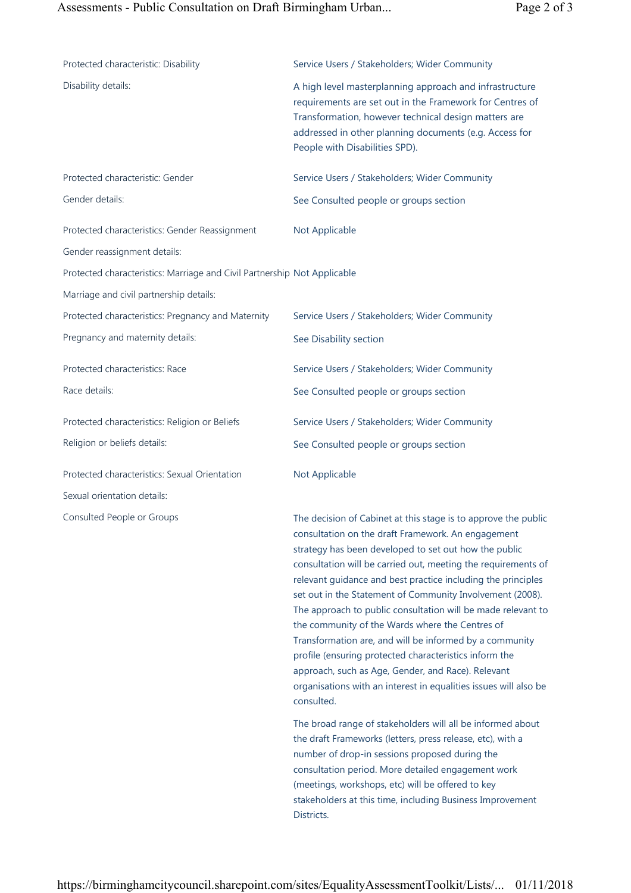| Protected characteristic: Disability                                     | Service Users / Stakeholders; Wider Community                                                                                                                                                                                                                                                                                                                                                                                                                                                                                                                                                                                                                                                                                                               |
|--------------------------------------------------------------------------|-------------------------------------------------------------------------------------------------------------------------------------------------------------------------------------------------------------------------------------------------------------------------------------------------------------------------------------------------------------------------------------------------------------------------------------------------------------------------------------------------------------------------------------------------------------------------------------------------------------------------------------------------------------------------------------------------------------------------------------------------------------|
| Disability details:                                                      | A high level masterplanning approach and infrastructure<br>requirements are set out in the Framework for Centres of<br>Transformation, however technical design matters are<br>addressed in other planning documents (e.g. Access for<br>People with Disabilities SPD).                                                                                                                                                                                                                                                                                                                                                                                                                                                                                     |
| Protected characteristic: Gender                                         | Service Users / Stakeholders; Wider Community                                                                                                                                                                                                                                                                                                                                                                                                                                                                                                                                                                                                                                                                                                               |
| Gender details:                                                          | See Consulted people or groups section                                                                                                                                                                                                                                                                                                                                                                                                                                                                                                                                                                                                                                                                                                                      |
| Protected characteristics: Gender Reassignment                           | Not Applicable                                                                                                                                                                                                                                                                                                                                                                                                                                                                                                                                                                                                                                                                                                                                              |
| Gender reassignment details:                                             |                                                                                                                                                                                                                                                                                                                                                                                                                                                                                                                                                                                                                                                                                                                                                             |
| Protected characteristics: Marriage and Civil Partnership Not Applicable |                                                                                                                                                                                                                                                                                                                                                                                                                                                                                                                                                                                                                                                                                                                                                             |
| Marriage and civil partnership details:                                  |                                                                                                                                                                                                                                                                                                                                                                                                                                                                                                                                                                                                                                                                                                                                                             |
| Protected characteristics: Pregnancy and Maternity                       | Service Users / Stakeholders; Wider Community                                                                                                                                                                                                                                                                                                                                                                                                                                                                                                                                                                                                                                                                                                               |
| Pregnancy and maternity details:                                         | See Disability section                                                                                                                                                                                                                                                                                                                                                                                                                                                                                                                                                                                                                                                                                                                                      |
| Protected characteristics: Race                                          | Service Users / Stakeholders; Wider Community                                                                                                                                                                                                                                                                                                                                                                                                                                                                                                                                                                                                                                                                                                               |
| Race details:                                                            | See Consulted people or groups section                                                                                                                                                                                                                                                                                                                                                                                                                                                                                                                                                                                                                                                                                                                      |
| Protected characteristics: Religion or Beliefs                           | Service Users / Stakeholders; Wider Community                                                                                                                                                                                                                                                                                                                                                                                                                                                                                                                                                                                                                                                                                                               |
| Religion or beliefs details:                                             | See Consulted people or groups section                                                                                                                                                                                                                                                                                                                                                                                                                                                                                                                                                                                                                                                                                                                      |
| Protected characteristics: Sexual Orientation                            | Not Applicable                                                                                                                                                                                                                                                                                                                                                                                                                                                                                                                                                                                                                                                                                                                                              |
| Sexual orientation details:                                              |                                                                                                                                                                                                                                                                                                                                                                                                                                                                                                                                                                                                                                                                                                                                                             |
| Consulted People or Groups                                               | The decision of Cabinet at this stage is to approve the public<br>consultation on the draft Framework. An engagement<br>strategy has been developed to set out how the public<br>consultation will be carried out, meeting the requirements of<br>relevant guidance and best practice including the principles<br>set out in the Statement of Community Involvement (2008).<br>The approach to public consultation will be made relevant to<br>the community of the Wards where the Centres of<br>Transformation are, and will be informed by a community<br>profile (ensuring protected characteristics inform the<br>approach, such as Age, Gender, and Race). Relevant<br>organisations with an interest in equalities issues will also be<br>consulted. |
|                                                                          | The broad range of stakeholders will all be informed about<br>the draft Frameworks (letters, press release, etc), with a<br>number of drop-in sessions proposed during the<br>consultation period. More detailed engagement work<br>(meetings, workshops, etc) will be offered to key<br>stakeholders at this time, including Business Improvement<br>Districts.                                                                                                                                                                                                                                                                                                                                                                                            |